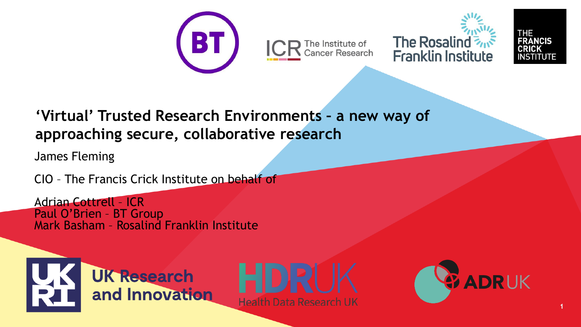





## **'Virtual' Trusted Research Environments – a new way of approaching secure, collaborative research**

James Fleming

CIO – The Francis Crick Institute on behalf of

Adrian Cottrell – ICR Paul O'Brien – BT Group Mark Basham – Rosalind Franklin Institute





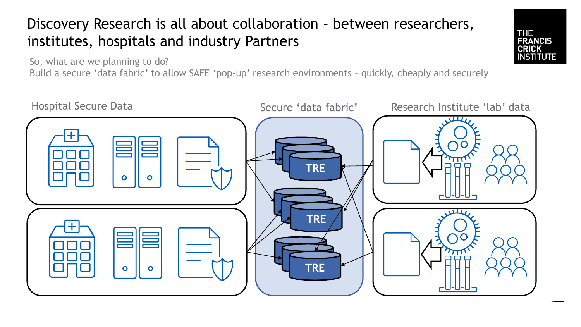# Discovery Research is all about collaboration – between researchers, institutes, hospitals and industry Partners

So, what are we planning to do?

Build a secure 'data fabric' to allow SAFE 'pop-up' research environments – quickly, cheaply and securely



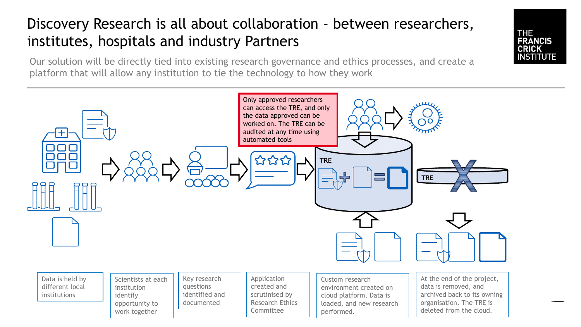# Discovery Research is all about collaboration – between researchers, institutes, hospitals and industry Partners

**THE** 

**FRANCIS CRICK INSTITUTE** 

Our solution will be directly tied into existing research governance and ethics processes, and create a platform that will allow any institution to tie the technology to how they work

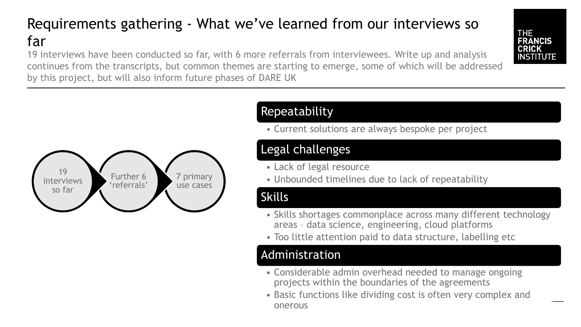# Requirements gathering - What we've learned from our interviews so far

19 interviews have been conducted so far, with 6 more referrals from interviewees. Write up and analysis continues from the transcripts, but common themes are starting to emerge, some of which will be addressed by this project, but will also inform future phases of DARE UK





#### Repeatability

• Current solutions are always bespoke per project

### Legal challenges

- Lack of legal resource
- Unbounded timelines due to lack of repeatability

#### Skills

- Skills shortages commonplace across many different technology areas – data science, engineering, cloud platforms
- Too little attention paid to data structure, labelling etc

#### Administration

- Considerable admin overhead needed to manage ongoing projects within the boundaries of the agreements
- Basic functions like dividing cost is often very complex and onerous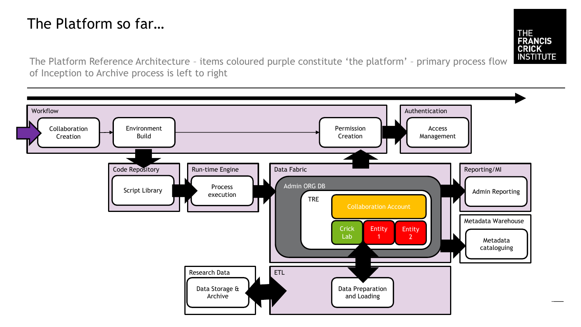## The Platform so far…

**THE FRANCIS CRICK INSTITUTE** 

The Platform Reference Architecture – items coloured purple constitute 'the platform' – primary process flow of Inception to Archive process is left to right

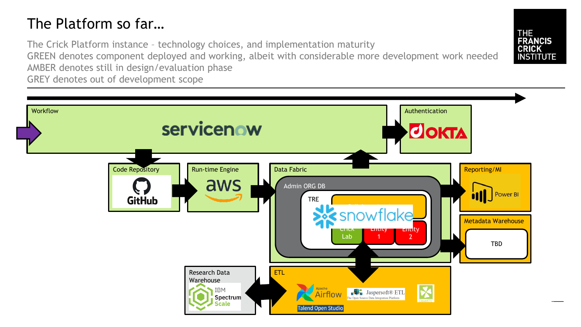## The Platform so far…

The Crick Platform instance – technology choices, and implementation maturity GREEN denotes component deployed and working, albeit with considerable more development work needed AMBER denotes still in design/evaluation phase GREY denotes out of development scope



**THE** 

**FRANCIS CRICK INSTITUTE**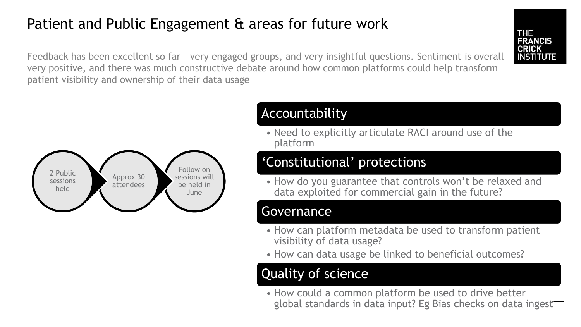## Patient and Public Engagement & areas for future work

**FRANCIS CRICK INSTITUTE** 

Feedback has been excellent so far – very engaged groups, and very insightful questions. Sentiment is overall very positive, and there was much constructive debate around how common platforms could help transform patient visibility and ownership of their data usage



### Accountability

• Need to explicitly articulate RACI around use of the platform

### 'Constitutional' protections

• How do you guarantee that controls won't be relaxed and data exploited for commercial gain in the future?

#### Governance

- How can platform metadata be used to transform patient visibility of data usage?
- How can data usage be linked to beneficial outcomes?

## Quality of science

• How could a common platform be used to drive better global standards in data input? Eg Bias checks on data ingest